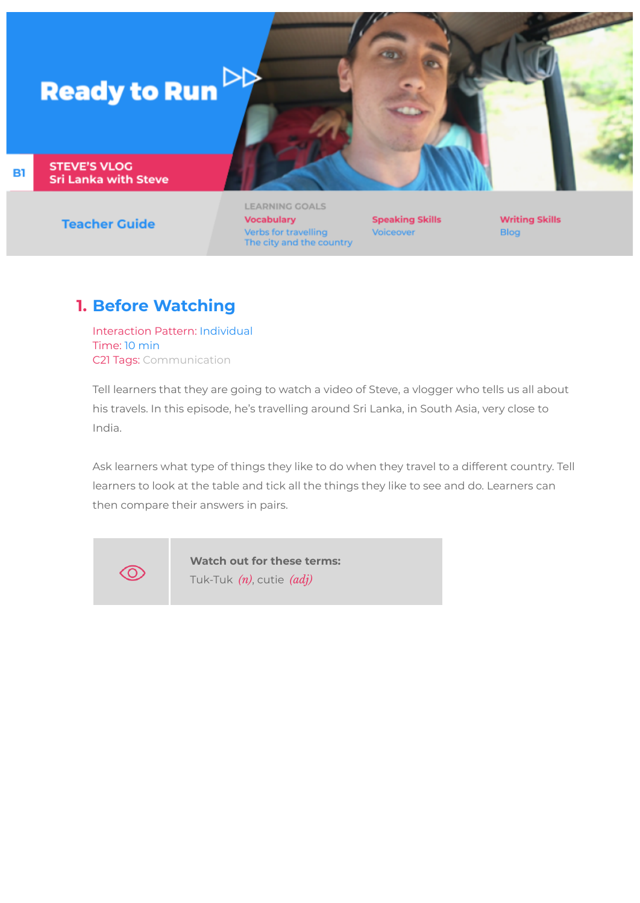# **Ready to Run**  $\triangleright$

**STEVE'S VLOG Sri Lanka with Steve** 

**B1** 

**Teacher Guide** 

LEARNING GOALS **Vocabulary** Verbs for travelling The city and the country

**Speaking Skills** Voiceover

**Writing Skills** Blog

## **1. Before Watching**

Interaction Pattern: Individual Time: 10 min C21 Tags: Communication

Tell learners that they are going to watch a video of Steve, a vlogger who tells us all about his travels. In this episode, he's travelling around Sri Lanka, in South Asia, very close to India.

Ask learners what type of things they like to do when they travel to a different country. Tell learners to look at the table and tick all the things they like to see and do. Learners can then compare their answers in pairs.



**Watch out for these terms:**

Tuk-Tuk *(n)*, cutie *(adj)*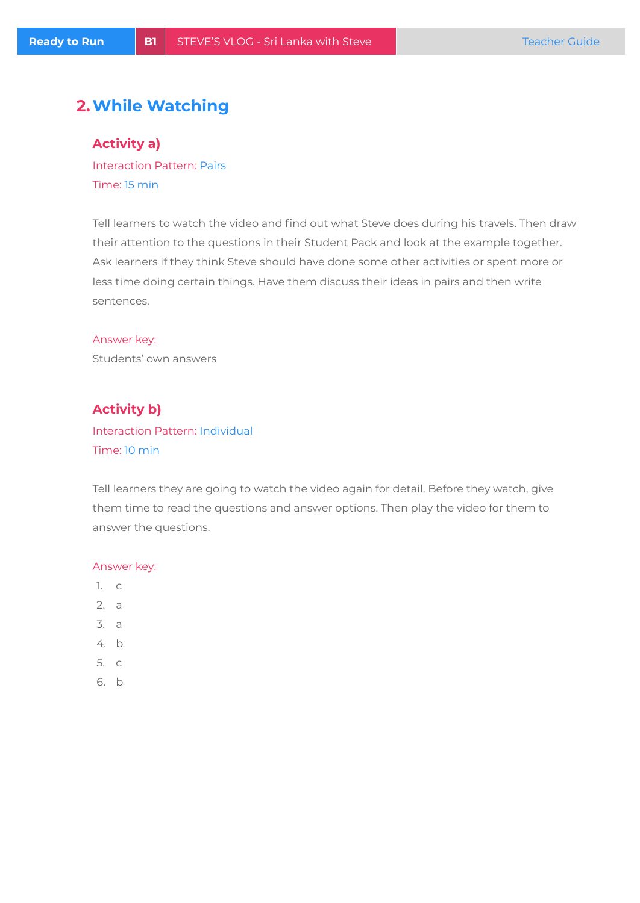## **2.While Watching**

**Activity a)**

Interaction Pattern: Pairs Time: 15 min

Tell learners to watch the video and find out what Steve does during his travels. Then draw their attention to the questions in their Student Pack and look at the example together. Ask learners if they think Steve should have done some other activities or spent more or less time doing certain things. Have them discuss their ideas in pairs and then write sentences.

# Answer key:

Students' own answers

## **Activity b)**

## Interaction Pattern: Individual Time: 10 min

Tell learners they are going to watch the video again for detail. Before they watch, give them time to read the questions and answer options. Then play the video for them to answer the questions.

#### Answer key:

- 1. c
- 2. a
- 3. a
- 4. b
- 5. c
- 6. b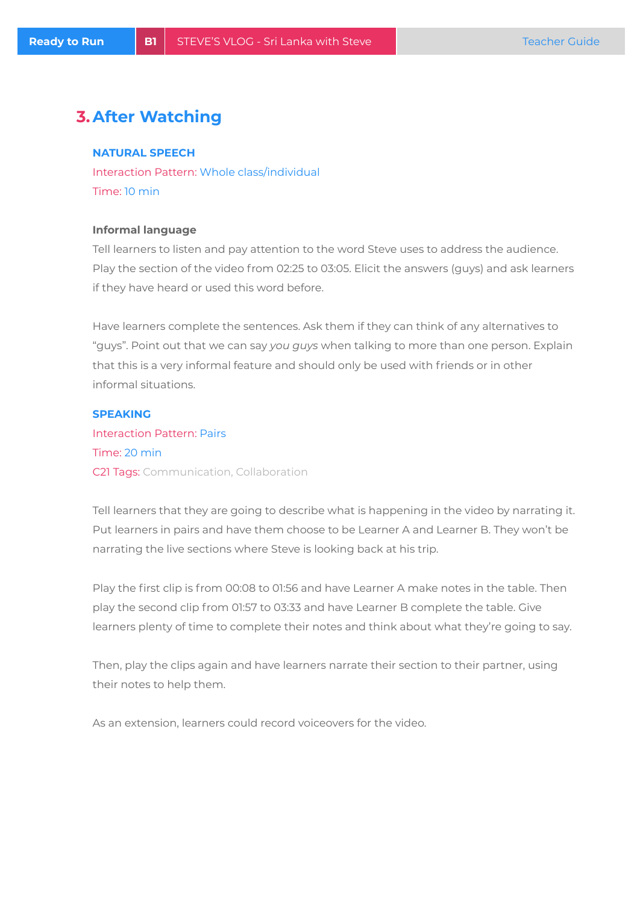## **3.After Watching**

#### **NATURAL SPEECH**

Interaction Pattern: Whole class/individual Time: 10 min

#### **Informal language**

Tell learners to listen and pay attention to the word Steve uses to address the audience. Play the section of the video from 02:25 to 03:05. Elicit the answers (guys) and ask learners if they have heard or used this word before.

Have learners complete the sentences. Ask them if they can think of any alternatives to "guys". Point out that we can say *you guys* when talking to more than one person. Explain that this is a very informal feature and should only be used with friends or in other informal situations.

#### **SPEAKING**

Interaction Pattern: Pairs Time: 20 min C21 Tags: Communication, Collaboration

Tell learners that they are going to describe what is happening in the video by narrating it. Put learners in pairs and have them choose to be Learner A and Learner B. They won't be narrating the live sections where Steve is looking back at his trip.

Play the first clip is from 00:08 to 01:56 and have Learner A make notes in the table. Then play the second clip from 01:57 to 03:33 and have Learner B complete the table. Give learners plenty of time to complete their notes and think about what they're going to say.

Then, play the clips again and have learners narrate their section to their partner, using their notes to help them.

As an extension, learners could record voiceovers for the video.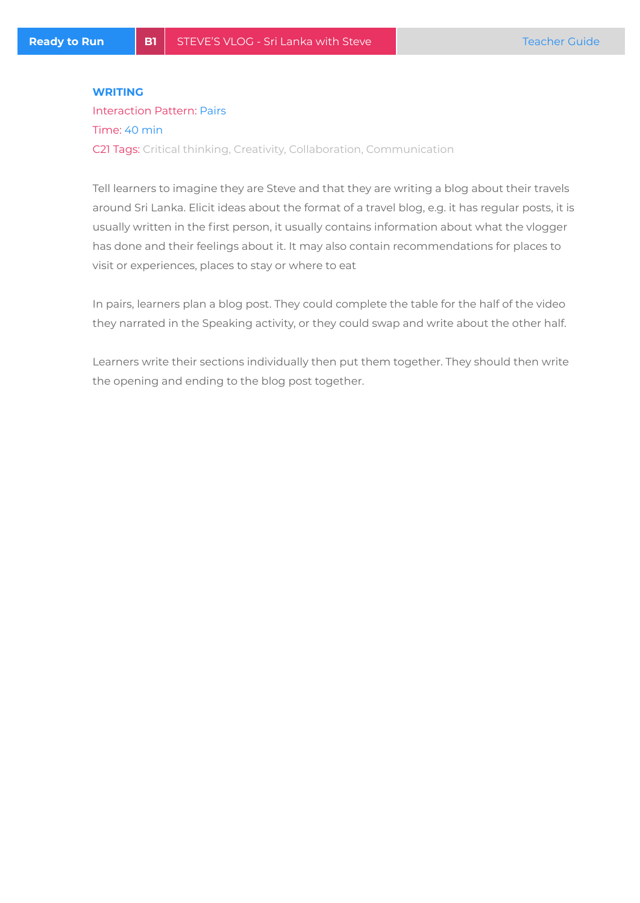#### **WRITING**

## Interaction Pattern: Pairs Time: 40 min C21 Tags: Critical thinking, Creativity, Collaboration, Communication

Tell learners to imagine they are Steve and that they are writing a blog about their travels around Sri Lanka. Elicit ideas about the format of a travel blog, e.g. it has regular posts, it is usually written in the first person, it usually contains information about what the vlogger has done and their feelings about it. It may also contain recommendations for places to visit or experiences, places to stay or where to eat

In pairs, learners plan a blog post. They could complete the table for the half of the video they narrated in the Speaking activity, or they could swap and write about the other half.

Learners write their sections individually then put them together. They should then write the opening and ending to the blog post together.